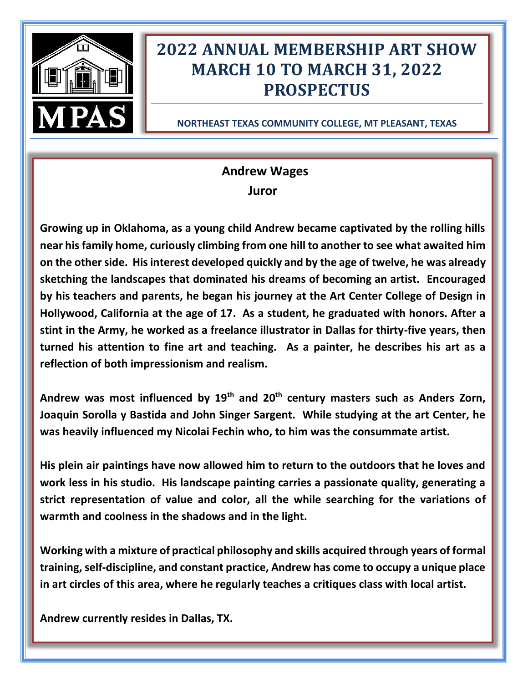

# **2022 ANNUAL MEMBERSHIP ART SHOW MARCH 10 TO MARCH 31, 2022 PROSPECTUS**

**NORTHEAST TEXAS COMMUNITY COLLEGE, MT PLEASANT, TEXAS**

# **Andrew Wages Juror**

**Growing up in Oklahoma, as a young child Andrew became captivated by the rolling hills near his family home, curiously climbing from one hill to another to see what awaited him on the other side. His interest developed quickly and by the age of twelve, he was already sketching the landscapes that dominated his dreams of becoming an artist. Encouraged by his teachers and parents, he began his journey at the Art Center College of Design in Hollywood, California at the age of 17. As a student, he graduated with honors. After a stint in the Army, he worked as a freelance illustrator in Dallas for thirty-five years, then turned his attention to fine art and teaching. As a painter, he describes his art as a reflection of both impressionism and realism.**

**Andrew was most influenced by 19th and 20th century masters such as Anders Zorn, Joaquin Sorolla y Bastida and John Singer Sargent. While studying at the art Center, he was heavily influenced my Nicolai Fechin who, to him was the consummate artist.**

**His plein air paintings have now allowed him to return to the outdoors that he loves and work less in his studio. His landscape painting carries a passionate quality, generating a strict representation of value and color, all the while searching for the variations of warmth and coolness in the shadows and in the light.** 

**Working with a mixture of practical philosophy and skills acquired through years of formal training, self-discipline, and constant practice, Andrew has come to occupy a unique place in art circles of this area, where he regularly teaches a critiques class with local artist.** 

**Andrew currently resides in Dallas, TX.**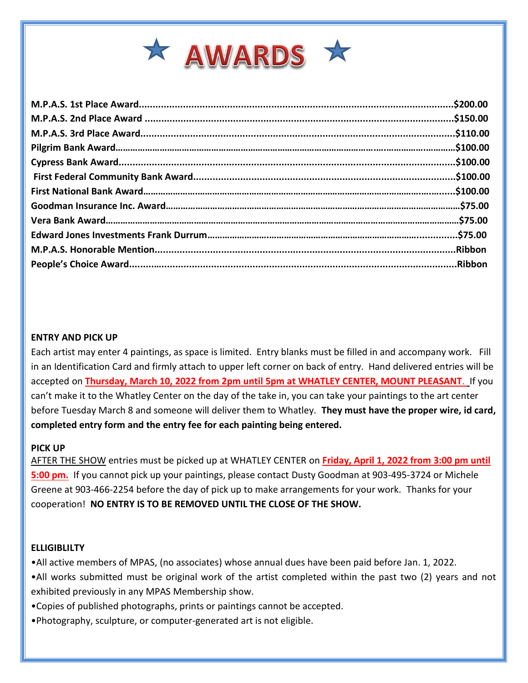

# **ENTRY AND PICK UP**

Each artist may enter 4 paintings, as space is limited. Entry blanks must be filled in and accompany work. Fill in an Identification Card and firmly attach to upper left corner on back of entry. Hand delivered entries will be accepted on **Thursday, March 10, 2022 from 2pm until 5pm at WHATLEY CENTER, MOUNT PLEASANT**. If you can't make it to the Whatley Center on the day of the take in, you can take your paintings to the art center before Tuesday March 8 and someone will deliver them to Whatley. **They must have the proper wire, id card, completed entry form and the entry fee for each painting being entered.**

#### **PICK UP**

AFTER THE SHOW entries must be picked up at WHATLEY CENTER on **Friday, April 1, 2022 from 3:00 pm until 5:00 pm.** If you cannot pick up your paintings, please contact Dusty Goodman at 903-495-3724 or Michele Greene at 903-466-2254 before the day of pick up to make arrangements for your work. Thanks for your cooperation! **NO ENTRY IS TO BE REMOVED UNTIL THE CLOSE OF THE SHOW.**

#### **ELLIGIBLILTY**

- •All active members of MPAS, (no associates) whose annual dues have been paid before Jan. 1, 2022.
- •All works submitted must be original work of the artist completed within the past two (2) years and not exhibited previously in any MPAS Membership show.
- •Copies of published photographs, prints or paintings cannot be accepted.
- •Photography, sculpture, or computer-generated art is not eligible.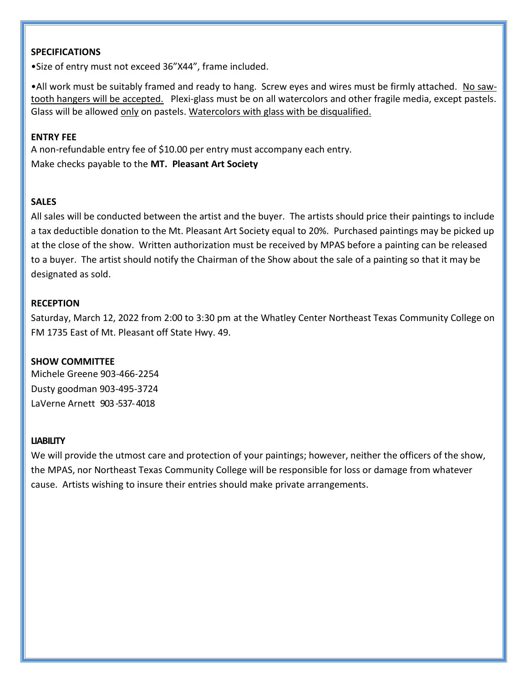# **SPECIFICATIONS**

•Size of entry must not exceed 36"X44", frame included.

•All work must be suitably framed and ready to hang. Screw eyes and wires must be firmly attached. No sawtooth hangers will be accepted. Plexi-glass must be on all watercolors and other fragile media, except pastels. Glass will be allowed only on pastels. Watercolors with glass with be disqualified.

#### **ENTRY FEE**

A non-refundable entry fee of \$10.00 per entry must accompany each entry. Make checks payable to the **MT. Pleasant Art Society**

# **SALES**

All sales will be conducted between the artist and the buyer. The artists should price their paintings to include a tax deductible donation to the Mt. Pleasant Art Society equal to 20%. Purchased paintings may be picked up at the close of the show. Written authorization must be received by MPAS before a painting can be released to a buyer. The artist should notify the Chairman of the Show about the sale of a painting so that it may be designated as sold.

#### **RECEPTION**

Saturday, March 12, 2022 from 2:00 to 3:30 pm at the Whatley Center Northeast Texas Community College on FM 1735 East of Mt. Pleasant off State Hwy. 49.

# **SHOW COMMITTEE**

Michele Greene 903-466-2254 Dusty goodman 903-495-3724 LaVerne Arnett 903-537-4018

#### **LIABILITY**

We will provide the utmost care and protection of your paintings; however, neither the officers of the show, the MPAS, nor Northeast Texas Community College will be responsible for loss or damage from whatever cause. Artists wishing to insure their entries should make private arrangements.